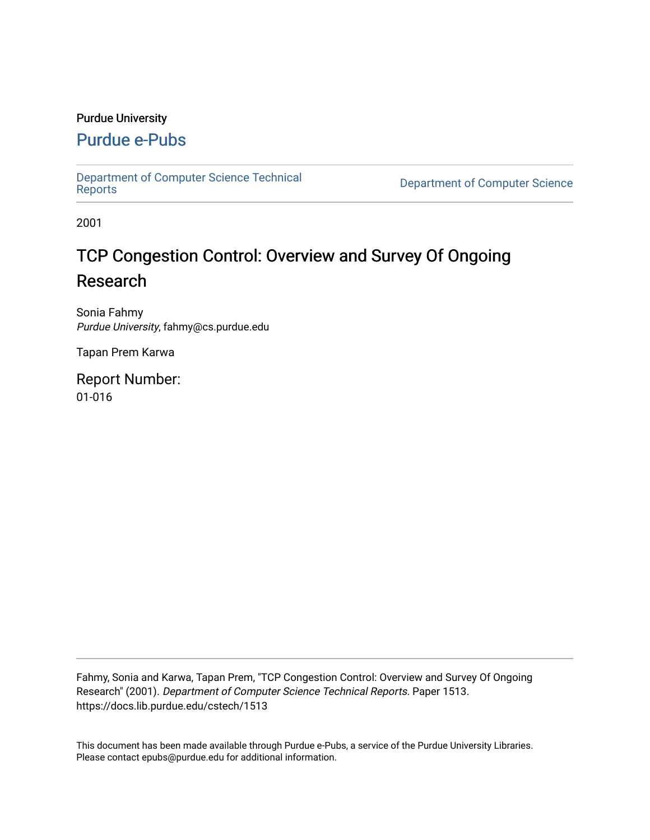#### Purdue University

# [Purdue e-Pubs](https://docs.lib.purdue.edu/)

[Department of Computer Science Technical](https://docs.lib.purdue.edu/cstech) 

**Department of Computer Science** 

2001

# TCP Congestion Control: Overview and Survey Of Ongoing Research

Sonia Fahmy Purdue University, fahmy@cs.purdue.edu

Tapan Prem Karwa

Report Number: 01-016

Fahmy, Sonia and Karwa, Tapan Prem, "TCP Congestion Control: Overview and Survey Of Ongoing Research" (2001). Department of Computer Science Technical Reports. Paper 1513. https://docs.lib.purdue.edu/cstech/1513

This document has been made available through Purdue e-Pubs, a service of the Purdue University Libraries. Please contact epubs@purdue.edu for additional information.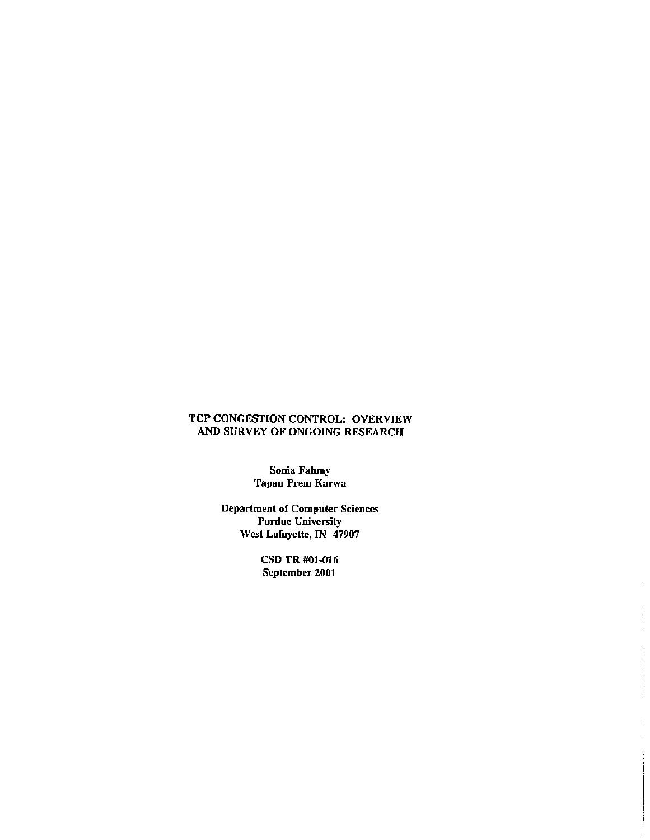#### TCP CONGESTION CONTROL: OVERVIEW AND SURVEY OF ONGOING RESEARCH

Sonia Fahmy Tapan Prem Karwa

Department of Computer Sciences Purdue University West Lafayette, IN 47907

> CSD TR #01-016 September 2001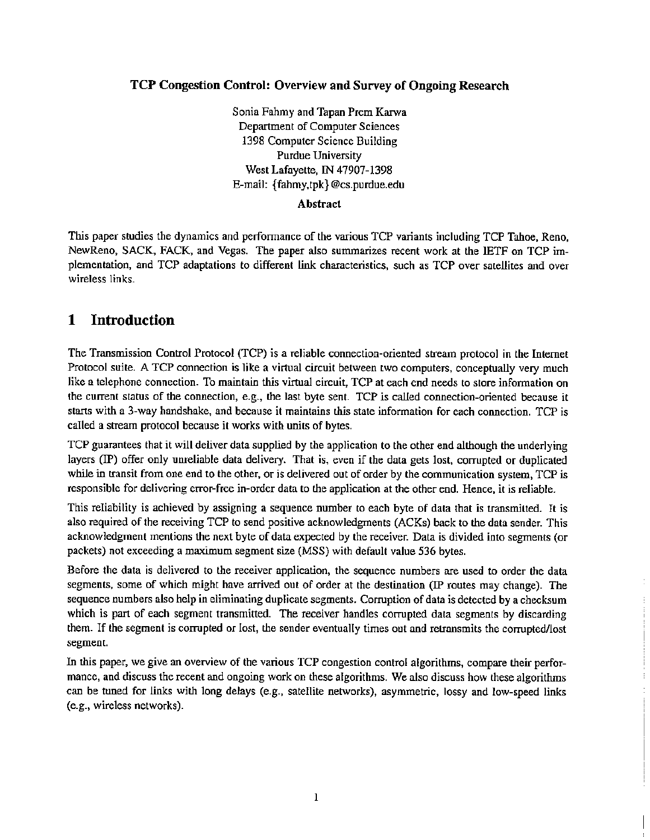### TCP Congestion Control: Overview and Survey of Ongoing Research

Sonia Fahmy and Tapan Prem Karwa Department of Computer Sciences 1398 Computer Science Building Purdue University West Lafayette, IN 47907-1398 E-mail: {fahmy,tpk}@cs.purdue.edu

#### Abstract

This paper studies the dynamics and performance of the various TCP variants including TCP Tahoe, Reno, NewReno, SACK, FACK, and Vegas. The paper also summarizes recent work at the lETF on TCP implementation, and TCP adaptations to different link characteristics, such as TCP over satellites and over wireless links.

# 1 Introduction

The Transmission Control Protocol (TCP) is a reliable connection-oriented stream protocol in the Internet Protocol suite. A TCP connection is like a virtual circuit between two computers, conceptually very much like a telephone connection. To maintain this virtual circuit, TCP at each end needs to store information on the current status of the connection, e.g., the last byte sent. TCP is called connection-oriented because it starts with a 3-way handshake, and because it maintains this state information for each connection. TCP is called a stream protocol because it works with units of bytes.

TCP guarantees that it will deliver data supplied by the application to the other end although the underlying layers (IP) offer only unreliable data delivery. That is, even if the data gets lost, corrupted or duplicated while in transit from one end to the other, or is delivered out of order by the communication system, TCP is responsible for delivering error-free in-order data to the application at the other end. Hence, it is reliable.

This reliability is achieved by assigning a sequence number to each byte of data that is transmitted. It is also required of the receiving TCP to send positive acknowledgments (ACKs) back to the data sender. This acknowledgment mentions the next byte of data expected by the receiver. Data is divided into segments (or packets) not exceeding a maximum segment size (MSS) with default value 536 bytes.

Before the data is delivered to the receiver application, the sequence numbers are used to order the data segments, some of which might have arrived out of order at the destination (IF routes may change). The sequence numbers also help in eliminating duplicate segments. Corruption of data is detected by a checksum which is part of each segment transmitted. The receiver handles corrupted data segments by discarding them. If the segment is corrupted or lost, the sender eventually times out and retransmits the corrupted/lost segment.

In this paper, we give an overview of the various TCP congestion control algorithms, compare their performance, and discuss the recent and ongoing work on these algorithms. We also discuss how these algorithms can be tuned for links with long delays (e.g., satellite networks), asymmetric, lossy and low-speed links (e.g., wireless networks).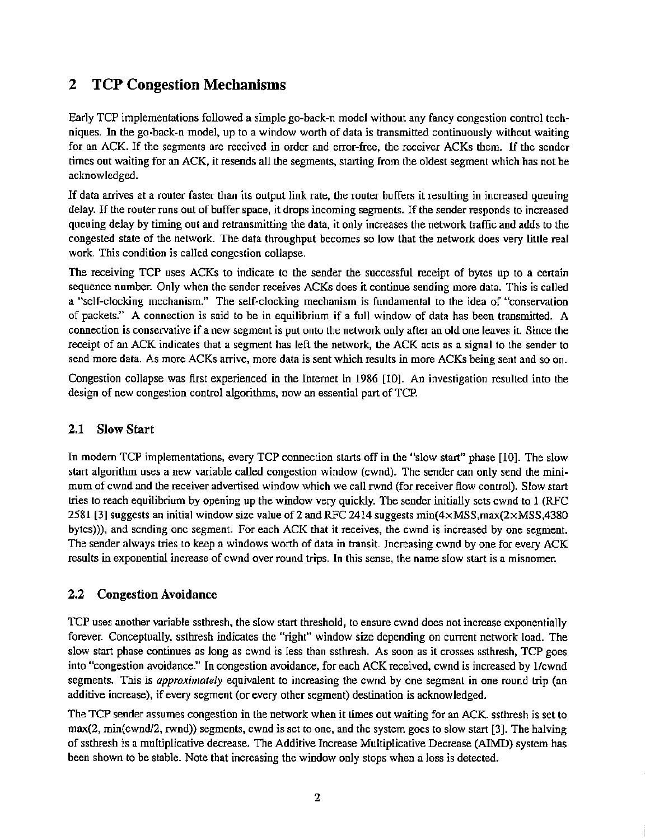# 2 TCP Congestion Mechanisms

Early TCP implementations followed a simple go-back-n model without any fancy congestion control techniques. In the go-back-n model, up to a window worth of data is transmitted continuously without waiting for an ACK. If the segments are received in order and error-free, the receiver ACKs them. If the sender times out waiting for an ACK, it resends all the segments, starting from the oldest segment which has not be acknowledged.

If data arrives at <sup>a</sup> router faster than its output link rate, the router buffers it resulting in increased queuing delay. If the router runs out of buffer space, it drops incoming segments. If the sender responds to increased queuing delay by timing out and retransmitting the data, it only increases the network traffic and adds to the congested state of the network. The data throughput becomes so low that the network does very little real work. This condition is called congestion collapse.

The receiving TCP uses ACKs to indicate to the sender the successful receipt of bytes up to a certain sequence number. Only when the sender receives ACKs does it continue sending more data. This is called a "self-clocking mechanism." The self-clocking mechanism is fundamental to the idea of "conservation of packets." A connection is said to be in equilibrium if a full window of data has been transmitted. A connection is conservative if a new segment is put onto the network only after an old one leaves it. Since the receipt of an ACK indicates that a segment has left the network, the ACK acts as a signal to the sender to send more data. As more ACKs arrive, more data is sent which results in more ACKs being sent and so on.

Congestion collapse was first experienced in the Imemet in 1986 [10]. An investigation resulled into the design of new congestion control algorithms, now an essential part of TCP.

### 2.1 Slow Start

In modem TCP implementations, every TCP connection starts off in the "slow start" phase [10]. The slow start algorithm uses a new variable called congestion window (cwnd). The sender can only send the mini· mum of cwnd and the receiver advertised window which we call rwnd (for receiver flow control). Slow start tries to reach equilibrium by opening up the window very quickly. The sender initially sets cwnd to 1 (RFC 2581 [3] suggests an initial window size value of 2 and RFC 2414 suggests  $min(4 \times MSS, max(2 \times MSS, 4380)$ bytes))), and sending one segment. For each ACK that it receives, the cwnd is increased by one segment. The sender always tries to keep a windows worth of data in transit. Increasing cwnd by one for every ACK results in exponential increase of cwnd over round trips. In this sense, the name slow start is a misnomer.

### 2.2 Congestion Avoidance

TCP uses another variable ssthresh, the slow start threshold, to ensure cwnd does not increase exponentially forever. Conceptually, ssthresh indicates the "right" window size depending on current network load. The slow start phase continues as long as cwnd is less than ssthresh. As soon as it crosses ssthresh, TCP goes into "congestion avoidance." In congestion avoidance, for each ACK received, cwnd is increased by 1/cwnd segments. This is *approximately* equivalent to increasing the cwnd by one segment in one round trip (an additive increase), if every segment (or every other segment) destination is acknowledged.

The TCP sender assumes congestion in the network when it times out waiting for an ACK. ssthresh is set to max(2, min(cwnd/2, rwnd)) segments, cwnd is set to one, and the system goes to slow start [3]. The halving of ssthresh is a multiplicative decrease. The Additive Increase Multiplicative Decrease (AIMD) system has been shown to be stable. Note that increasing the window only stops when a loss is detected.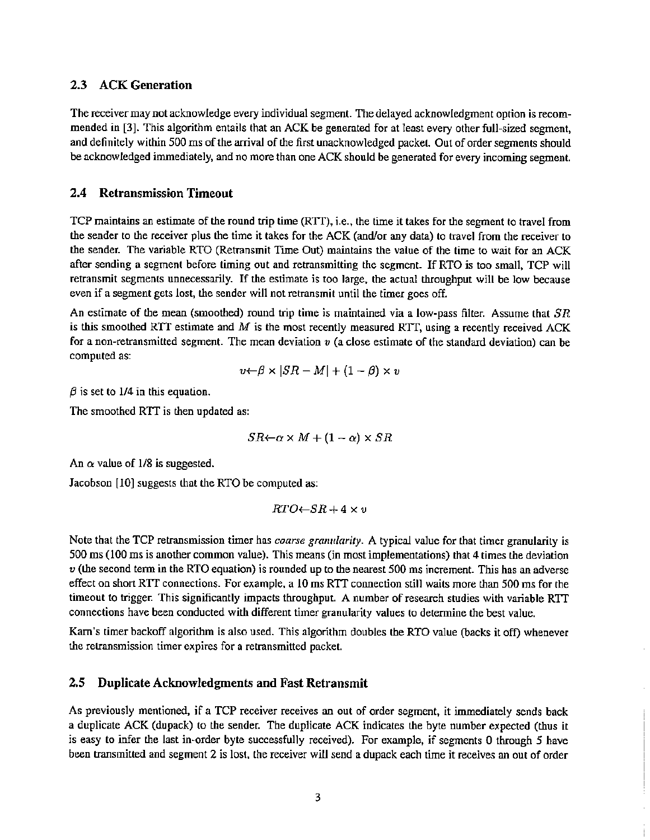#### 2.3 ACK Generation

The receiver may not acknowledge every individual segment. The delayed acknowledgment option is recommended in [3]. This algorithm entails that an ACK be generated for at least every other full-sized segment, and definitely within 500 ms of the arrival of the first unacknowledged packet. Out of order segments should be acknowledged immediately, and no more than one ACK should be generated for every incoming segment.

#### 2.4 Retransmission Timeout

TCP maintains an estimate of the round trip time (RTT), i.e., the time it takes for the segment to travel from the sender to the receiver plus the time it takes for the ACK (andlor any data) to travel from the receiver to the sender. The variable RTO (Retransmit Time Out) maintains the value of the time to wait for an ACK after sending a segment before timing out and retransmitting the segment. If RTO is too small, TCP will retransmit segments unnecessarily. If the estimate is too large. the actual throughput will be low because even if a segment gets lost, the sender will not retransmit until the timer goes off.

An estimate of the mean (smoothed) round trip time is maintained via a low-pass filter. Assume that *SR* is this smoothed RTT estimate and  $M$  is the most recently measured RTT, using a recently received ACK for a non-retransmitted segment. The mean deviation *v* (a close estimate of the standard deviation) can be computed as:

$$
v \leftarrow \beta \times |SR - M| + (1 - \beta) \times v
$$

 $\beta$  is set to 1/4 in this equation.

The smoothed RTT is then updated as:

$$
SR \leftarrow \alpha \times M + (1 - \alpha) \times SR
$$

An  $\alpha$  value of 1/8 is suggested.

Jacobson [10] suggests that the RTO be computed as:

$$
RTO \leftarrow SR + 4 \times v
$$

Note that the TCP retransmission timer has *coarse granularity*. A typical value for that timer granularity is 500 ms (100 ms is another common value). This means (in most implementations) that 4 times the deviation  *(the second term in the RTO equation) is rounded up to the nearest 500 ms increment. This has an adverse* effect on short RTT connections. For example, a 10 ms RTT connection still waits more than 500 ms for the timeout to trigger. This significantly impacts throughput. A number of research studies with variable RTf connections have been conducted with different timer granularity values to detennine the best value.

Kam's timer backoff algorilhm is also used. This algorithm doubles the RTO value (backs it off) whenever the retransmission timer expires for a retransmitted packet.

#### 2.5 Duplicate Acknowledgments and Fast Retransmit

As previously mentioned. if a TCP receiver receives an out of order segment. it immediately sends back a duplicate ACK (dupack) to the sender. The duplicate ACK indicates the byte number expected (thus it is easy to infer the last in~order byte successfully received). For example, if segments 0 through 5 have been transmitted and segment 2 is lost, the receiver will send a dupack each time it receives an out of order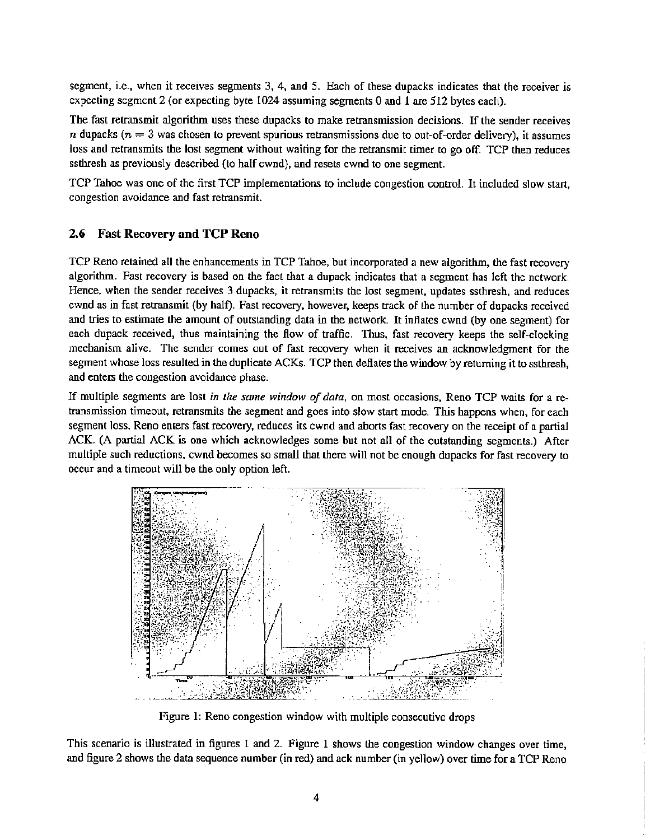segment, i.e., when it receives segments 3, 4, and 5. Each of these dupacks indicates that the receiver is expecting segment 2 (or expecting byte 1024 assuming segments 0 and 1 are 512 bytes each).

The fast retransmit algorithm uses these dupacks to make retransmission decisions. If the sender receives n dupacks ( $n = 3$  was chosen to prevent spurious retransmissions due to out-of-order delivery), it assumes loss and retransmits the lost segment without waiting for the retransmit timer to go off. TCP then reduces ssthresh as previously described (to half cwnd), and resets cwnd to one segment.

TCP Tahoe was one of the first TCP implementations to include congestion control. It included slow start, congestion avoidance and fast retransmit.

#### 2.6 Fast Recovery and TCP Reno

TCP Reno retained all the enhancements in TCP Tahoe, but incorporated a new algorithm, the fast recovery algorithm. Fast recovery is based on the fact that a dupack indicates that a segment has left the network. Hence, when the sender receives 3 dupacks, it retransmits the lost segment, updates ssthresh, and reduces cwnd as in fast retransmit (by half). Fast recovery, however, keeps track of the number of dupacks received and tries to estimate the amount of outstanding data in the network. It inflates cwnd (by one segment) for each dupack received, thus maintaining the flow of traffic. Thus, fast recovery keeps the self-clocking mechanism alive. The sender comes out of fast recovery when it receives an acknowledgment for the segment whose loss resulted in the duplicate ACKs. TCP then deflates the window by returning it to ssthresh, and enters the congestion avoidance phase.

If multiple segments are lost in the same window *of* dafa, on most occasions, Reno TCP waits for a retransmission timeout, retransmits the segment and goes into slow start mode. This happens when, for each segment loss, Reno enters fast recovery, reduces its cwnd and aborts fast recovery on the receipt of a partial ACK. (A partial ACK is one which acknowledges some but not all of the outstanding segments.) After multiple such reductions, cwnd becomes so small that there will not be enough dupacks for fast recovery to occur and a timeout will be the only option left.



Figure 1: Reno congestion window with multiple consecutive drops

This scenario is illustrated in figures 1 and 2. Figure 1 shows the congestion window changes over time, and figure 2 shows the data sequence number (in red) and ack number (in yellow) over time for a TCP Reno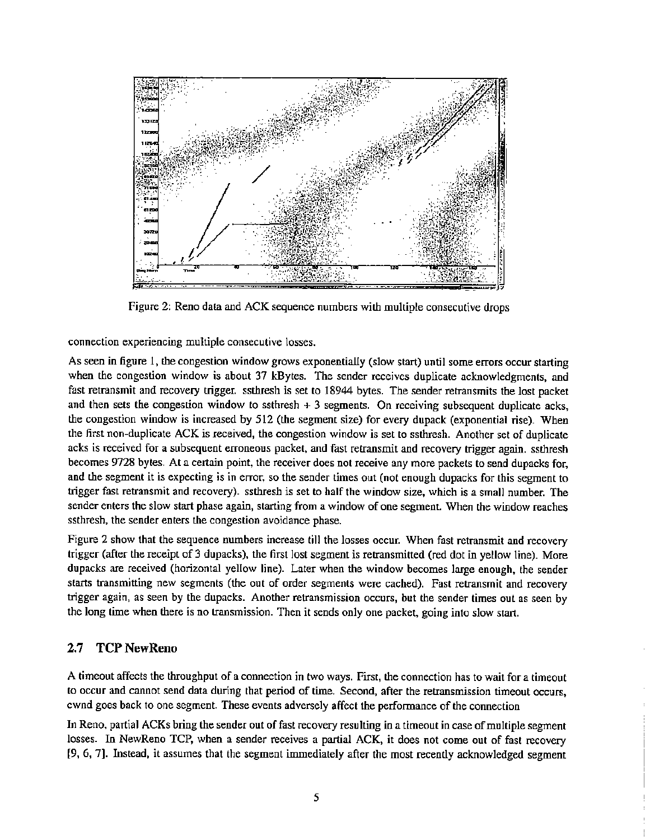

Figure 2: Reno dala and ACK sequence numbers with multiple consecutive drops

connection experiencing multiple consecutive losses.

As seen in figure 1, the congestion window grows exponentially (slow start) until some errors occur starting when the congestion window is about 37 kBytes. The sender receives duplicate acknowledgments, and fast retransmit and recovery trigger. ssthresh is set to 18944 bytes. The sender retransmits the lost packet and then sets the congestion window to ssthresh  $+3$  segments. On receiving subsequent duplicate acks, the congestion window is increased by 512 (the segment size) for every dupack (exponential rise). When the first non-duplicate ACK is received, the congestion window is set to ssthresh. Another set of duplicate acks is received for a subsequent erroneous packet, and fast retransmit and recovery trigger again. ssthresh becomes 9728 bytes. At a certain point, the receiver does not receive any more packets to send dupacks for, and the segment it is expecting is in error, so the sender times out (not enough dupacks for this segment to trigger fast retransmit and recovery). ssthresh is set to half the window size, which is a small number. The sender enters the slow start phase again, starting from a window of one segment. When the window reaches ssthresh, the sender enters the congestion avoidance phase.

Figure 2 show that the sequence numbers increase till the losses occur. When fast retransmit and recovery trigger (after the receipt of 3 dupacks), the first lost segment is retransmitted (red dot in yellow line). More dupacks are received (horizontal yellow line). Later when the window becomes large enough, the sender starts transmitting new segments (the out of order segments were cached). Fast retransmit and recovery trigger again, as seen by the dupacks. Another retransmission occurs, but the sender times out as seen by the long time when there is no transmission. Then it sends only one packet, going into slow start.

### 2.7 TCP NewReno

A timeout affects the throughput of a connection in two ways. First, the connection has to wait for a timeout to occur and cannot send data during that period of time. Second, after the retransmission timeout occurs, cwnd goes back to one segment. These events adversely affect the performance of the connection

In Reno, partial ACKs bring the sender out of fast recovery resulting in a timeout in case of multiple segment losses. In NewReno TCP, when a sender receives a partial ACK, it does not come out of fast recovery [9, 6, 7]. Instead, it assumes that the segment immediately after the most recently acknowledged segment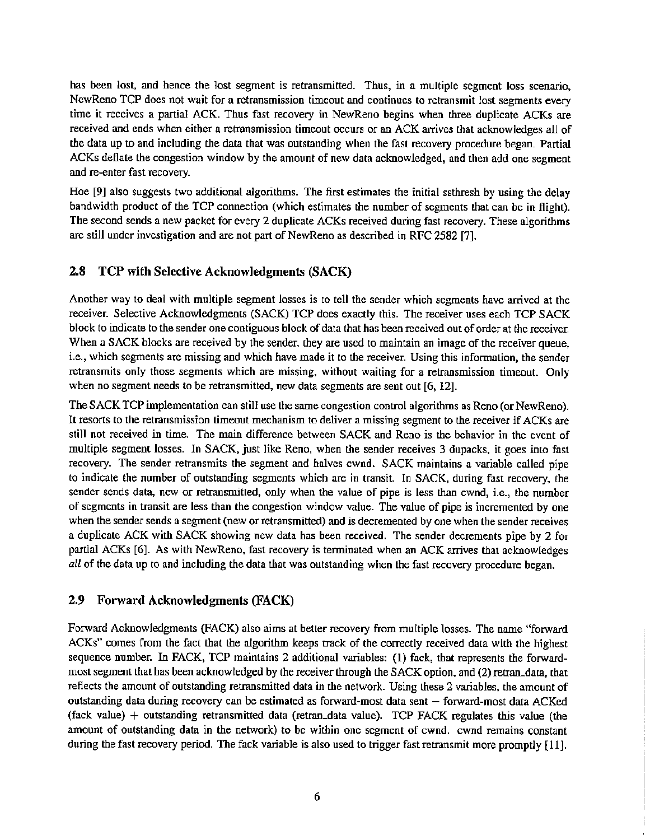has been lost, and hence the lost segment is retransmitted. Thus, in a multiple segment loss scenario, NewReno TCP does not wait for a retransmission timeout and continues to retransmit lost segments every time it receives a partial ACK. Thus fast recovery in NewReno begins when three duplicate ACKs are received and ends when either a retransmission timeout occurs or an ACK arrives that acknowledges all of the data up to and including the data that was outstanding when the fast recovery procedure began. Partial ACKs deflate the congestion window by the amount of new data acknowledged, and then add one segment and re-enter fast recovery.

Hoe [9] also suggests two additional algorithms. The first estimates the initial ssthresh by using the delay bandwidth product of the TCP connection (which estimates the number of segments that can be in flight). The second sends a new packet for every 2 duplicate ACKs received during fast recovery. These algorithms are still under investigation and are not part of NewReno as described in RFC 2582 [7].

#### 2.8 TCP with Selective Acknowledgments (SACK)

Another way to deal with multiple segment losses is to tell the sender which segments have arrived at the receiver. Selective Acknowledgments (SACK) TCP does exactly this. The receiver uses each TCP SACK block to indicate to the sender one contiguous block of data that has been received out of order at the receiver. When a SACK blocks are received by the sender, they are used to maintain an image of the receiver queue, i.e., which segments are missing and which have made it to the receiver. Using this information, the sender retransmits only those segments which are missing, without waiting for a retransmission timeout. Only when no segment needs to be retransmitted, new data segments are sent out [6, 12].

The SACK TCP implementation can still use the same congestion control algorithms as Reno (or NewReno). It resorts to the retransmission timeout mechanism to deliver a missing segment to the receiver if ACKs are still not received in time. The main difference between SACK and Reno is the behavior in the event of multiple segment losses. In SACK, just like Reno, when the sender receives 3 dupacks, it goes inlo fast recovery. The sender retransmits the segment and halves cwnd. SACK maintains a variable called pipe to indicate the number of outstanding segments which are in transit. In SACK, during fast recovery, the sender sends data, new or retransmitted, only when the value of pipe is less than cwnd, i.e., the number of segments in transit are less than the congestion window value. The value of pipe is incremented by one when the sender sends a segment (new or retransmitted) and is decremented by one when the sender receives a duplicate ACK with SACK showing new data has been received. The sender decrements pipe by 2 for partial ACKs [6]. As with NewReno, fast recovery is terminated when an ACK arrives that acknowledges *all* of the data up to and including the data that was outstanding when the fast recovery procedure began.

#### 2.9 Forward Acknowledgments (FACK)

Forward Acknowledgments (PACK) also aims at better recovery from multiple losses. The name "forward ACKs" comes from the fact that the algorithm keeps track of the correctly received data with the highest sequence number. In FACK, TCP maintains 2 additional variables: (1) fack, that represents the forwardmost segment that has been acknowledged by the receiver through the SACK option, and (2) retran\_dam, that reflects the amount of outstanding retransmitted data in the network. Using these 2 variables, the amount of outstanding data during recovery can be estimated as forward-most data sent - forward-most data ACKed (fack value) + outstanding retransmitted data (retran\_data value). TCP FACK regulates this value (the amount of outstanding data in the network) to be within one segment of cwnd. cwnd remains constant during the fast recovery period. The fack variable is also used to trigger fast retransmit more promptly [11].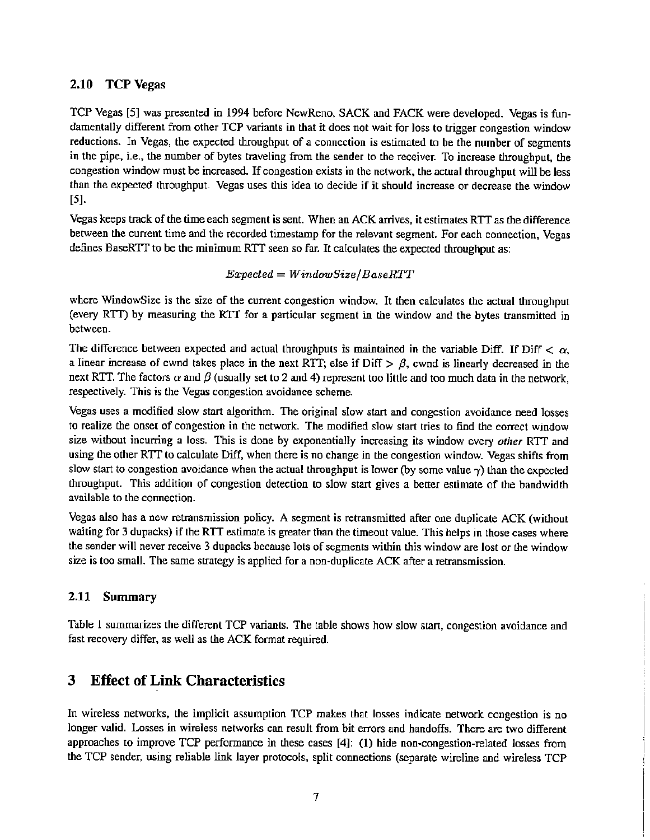#### 2.10 TCP Vegas

TCP Vegas [5] was presented in 1994 before NewReno. SACK and FACK were developed. Vegas is fundamentally different from other TCP variants in that it does not wait for loss to trigger congestion window reductions. In Vegas, the expected throughput of a connection is estimated to be the number of segments in the pipe. i.e., the number of bytes traveling from the sender to the receiver. To increase throughput, the congestion window must be increased. If congestion exists in the network, the actual throughput will be less than the expected throughput. Vegas uses this idea to decide if it should increase or decrease the window [5].

Vegas keeps track ofthe time each segment is sent. When an ACK arrives, it estimates RIT as the difference between the current time and the recorded timestamp for the relevant segment. For each connection. Vegas defines BaseRTT to be the minimum RTT seen so far. It calculates the expected throughput as:

#### *Expected* = *WindowSize/BaseRTT*

where WindowSize is the size of the current congestion window. It then calculates the actual throughput (every RTT) by measuring the RTT for a particular segment in the window and the bytes transmitted in between.

The difference between expected and actual throughputs is maintained in the variable Diff. If Diff  $\langle \alpha$ . a linear increase of cwnd takes place in the next RTT; else if  $\text{Diff} > \beta$ , cwnd is linearly decreased in the next RTT. The factors  $\alpha$  and  $\beta$  (usually set to 2 and 4) represent too little and too much data in the network, respectively. This is the Vegas congestion avoidance scheme.

Vegas uses a modified slow start algorithm. The original slow start and congestion avoidance need losses to realize the onset of congestion in the network. The modified slow start tries to find the correct window size without incurring a loss. This is done by exponentially increasing its window every *other* RTT and using the other RTT to calculate Diff, when there is no change in the congestion window. Vegas shifts from slow start to congestion avoidance when the actual throughput is lower (by some value  $\gamma$ ) than the expected throughput. This addition of congestion detection to slow start gives a better estimate of the bandwidth available to the connection.

Vegas also has a new retransmission policy. A segment is retransmitted after one duplicate ACK (without waiting for 3 dupacks) if the RTT estimate is greater than the timeout value. This helps in those cases where the sender will never receive 3 dupacks because lots of segments within this window are lost or the window size is too small. The same strategy is applied for a non-duplicate ACK after a retransmission.

### 2.11 Summary

Table 1 summarizes the different TCP variants. The lable shows how slow start, congestion avoidance and fast recovery differ, as well as the ACK format required.

# 3 Effect of Link Characteristics

In wireless networks. lhe implicit assumption TCP makes that losses indicate network congestion is no longer valid. Losses in wireless networks can result from bit errors and handoffs. There are two different approaches to improve TCP performance in these cases [4]: (1) hide non-congestion-related losses from the TCP sender, using reliable link layer protocols, split connections (separate wireline and wireless TCP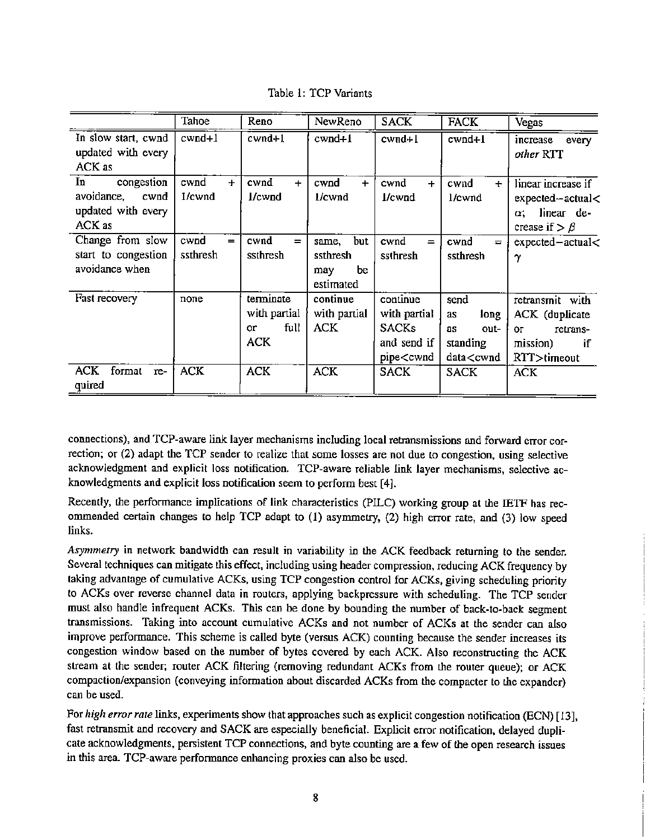|  |  |  | Table 1: TCP Variants |
|--|--|--|-----------------------|
|--|--|--|-----------------------|

|                                                                        | Tahoe                   | Reno                                           | NewReno                                         | <b>SACK</b>                                                                                                                                                                                                                                                                  | <b>FACK</b>                                                                                                                                                                      | Vegas                                                                                |
|------------------------------------------------------------------------|-------------------------|------------------------------------------------|-------------------------------------------------|------------------------------------------------------------------------------------------------------------------------------------------------------------------------------------------------------------------------------------------------------------------------------|----------------------------------------------------------------------------------------------------------------------------------------------------------------------------------|--------------------------------------------------------------------------------------|
| In slow start, cwnd<br>updated with every<br>ACK as                    | $cwnd+1$                | $cwnd+1$                                       | $cwnd+1$                                        | cwnd+1                                                                                                                                                                                                                                                                       | $cwnd+1$                                                                                                                                                                         | increase<br>every<br>other RTT                                                       |
| In<br>congestion<br>avoidance,<br>cwnd<br>updated with every<br>ACK as | cwnd<br>$\pm$<br>1/cwnd | cwnd<br>$+$<br>$1$ /cwnd                       | cwnd<br>$+$<br>1/cwnd                           | cwnd<br>$+$<br>l/cwnd                                                                                                                                                                                                                                                        | cwnd<br>$+$<br>1/cwnd                                                                                                                                                            | linear increase if<br>expected-actual<<br>linear de-<br>α.<br>crease if $> \beta$    |
| Change from slow<br>start to congestion<br>avoidance when              | cwnd<br>$=$<br>ssthresh | cwnd<br>$=$<br>ssthresh                        | same, but<br>ssthresh<br>be<br>may<br>estimated | cwnd<br>$=$<br>ssthresh                                                                                                                                                                                                                                                      | cwnd<br>$=$<br>ssthresh                                                                                                                                                          | expected-actual<<br>$\gamma$                                                         |
| Fast recovery                                                          | none                    | terminate<br>with partial<br>full<br>or<br>ACK | continue<br>with partial<br><b>ACK</b>          | continue<br>with partial<br>SACKs<br>and send if<br>pipe <cwnd< td=""><td>send<br/>long<br/>as<br/>out-<br/>as<br/>standing<br/>data<cwnd< td=""><td>retransmit with<br/>ACK (duplicate<br/>retrans-<br/>OГ<br/>mission)<br/>if<br/>RTT&gt;timeout</td></cwnd<></td></cwnd<> | send<br>long<br>as<br>out-<br>as<br>standing<br>data <cwnd< td=""><td>retransmit with<br/>ACK (duplicate<br/>retrans-<br/>OГ<br/>mission)<br/>if<br/>RTT&gt;timeout</td></cwnd<> | retransmit with<br>ACK (duplicate<br>retrans-<br>OГ<br>mission)<br>if<br>RTT>timeout |
| <b>ACK</b><br>format<br>re-<br>quired                                  | <b>ACK</b>              | <b>ACK</b>                                     | <b>ACK</b>                                      | SACK                                                                                                                                                                                                                                                                         | <b>SACK</b>                                                                                                                                                                      | <b>ACK</b>                                                                           |

connections), and TCP-aware link layer mechanisms including local retransmissions and forward error correction; or (2) adapt the TCP sender to realize that some losses are not due to congestion, using selective acknowledgment and explicit loss notification. TCP-aware reliable link layer mechanisms, selective acknowledgments and explicit loss notification seem to perform best [4].

Recently, the performance implications of link characteristics (PILC) working group at the IETF has recommended certain changes to help TCP adapt to (1) asymmetry, (2) high error rate, and (3) low speed links.

*Asymmetry* in network bandwidth can result in variability in the ACK feedback returning to the sender. Several techniques can mitigate this effect, including using header compression, reducing ACK frequency by taking advantage of cumulative ACKs, using TCP congestion control for ACKs, giving scheduling priority to ACKs over reverse channel data in routers, applying backpressure with scheduling. The TCP sender must also handle infrequent ACKs. This can be done by bounding the number of back-to-back segment transmissions. Taking into account cumulative ACKs and not number of ACKs at the sender can also improve performance. This scheme is called byte (versus ACK) counting because the sender increases its congestion window based on the number of bytes covered by each ACK. Also reconstructing the ACK slream at the sender; router ACK filtering (removing redundant ACKs from the router queue); or ACK compaction/expansion (conveying information about discarded ACKs from the compacter to the expander) can be used.

For *high error rate* links, experiments show that approaches such as explicit congestion notification (BCN) [13], fast retransmit and recovery and SACK are especially beneficial. Explicit error notification, delayed duplicate acknowledgments, persistent TCP connections, and byte counting are a few of the open research issues in this area. TCP-aware perfonnance enhancing proxies can also be used.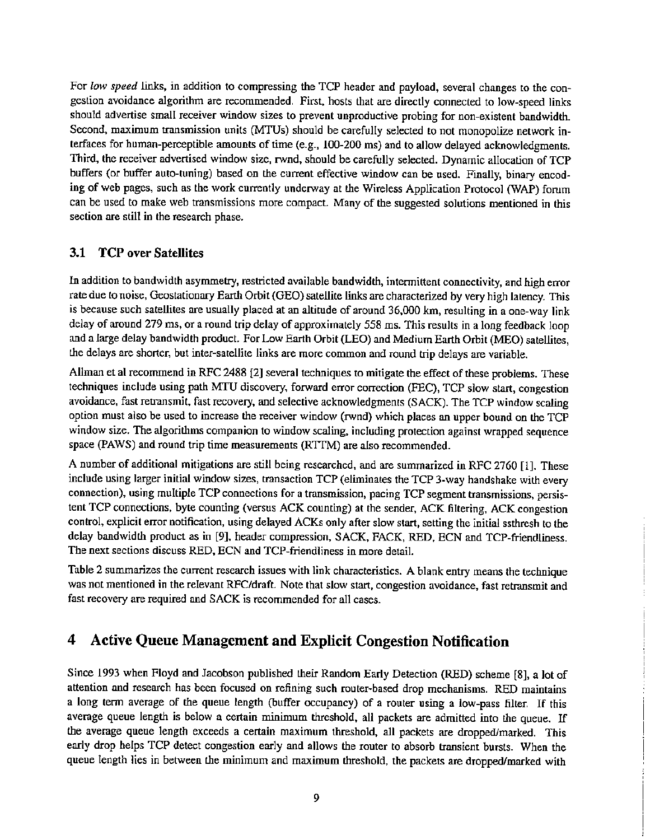For *low speed* links, in addition to compressing the TCP header and payload, several changes to the congestion avoidance algorithm are recommended. First, hosts that are directly connected to low-speed links should advertise small receiver window sizes to prevent unproductive probing for non-existent bandwidth. Second, maximum transmission units (MTUs) should be carefully selected to not monopolize network interfaces for human-perceptible amounts of time (e.g., 100-200 ms) and to allow delayed acknowledgments. Third, the receiver advertised window size, rwnd, should be carefully selected. Dynamic allocation of TCP buffers (or buffer auto-tuning) based on the current effective window can be used. Finally, binary encoding of web pages, such as the work currently underway at the Wireless Application Protocol (WAP) forum can be used to make web transmissions more compact. Many of the suggested solutions mentioned in this section are still in the research phase.

#### 3.1 TCP over Satellites

In addition to bandwidth asymmetry, restricted available bandwidth, intermittent connectivity, and high error rate due to noise, Geostationary Earth Orbit (GEO) satellite links are characterized by very high latency. This is because such satellites are usually placed at an altitude of around 36,000 km, resulting in a one-way link delay of around 279 ms, or a round trip delay of approximately 558 ms. This results in a long feedback loop and a large delay bandwidth product. For Low Earth Orbit (LEO) and Medium Earth Orbit (MEO) satellites, the delays are shorter, but inter-satellite links are more common and round trip delays are variable.

Allman et al recommend in RFC 2488 [2] several techniques to mitigate the effect of these problems. These techniques include using path MTU discovery, forward error correction (FEC), TCP slow start, congestion avoidance, fast retransmit, fast recovery, and selective acknowledgments (SACK). The TCP window scaling option must also be used to increase the receiver window (rwnd) which places an upper bound on the TCP window size. The algorithms companion to window scaling, including protection against wrapped sequence space (PAWS) and round trip time measurements (RTIM) are also recommended.

A number of additional mitigations are still being researched, and are summarized in RFC 2760 [1]. These include using larger initial window sizes, transaction TCP (eliminates the TCP 3-way handshake with every connection), using multiple TCP connections for a transmission, pacing TCP segment transmissions, persistent TCP connections, byte counting (versus ACK counting) at the sender, ACK fillering, ACK congestion control, explicit error notification, using delayed ACKs only after slow start, setting the initial ssthresh to the delay bandwidth product as in [9], header compression, SACK, FACK, RED, ECN and TCP-friendliness. The next sections discuss RED, ECN and TCP-friendliness in more detail.

Table 2 summarizes the current research issues with link characteristics. A blank entry means the technique was not mentioned in the relevant RFC/draft. Note that slow start, congestion avoidance, fast retransmit and fast recovery are required and SACK is recommended for all cases.

# 4 Active Queue Management and Explicit Congestion Notification

Since 1993 when Floyd and Jacobson published their Random Early Detection (RED) scheme [8], a lot of attention and research has been focused on refining such router·based drop mechanisms. RED maintains a long term average of the queue length (buffer occupancy) of a router using a low-pass filter. If this average queue length is below a certain minimum threshold, all packets are admitted into the queue. If the average queue length exceeds a certain maximum threshold, all packets are dropped/marked. This early drop helps TCP detect congestion early and allows the router to absorb transient bursts. When the queue length lies in between the minimum and maximum threshold, the packets are dropped/marked with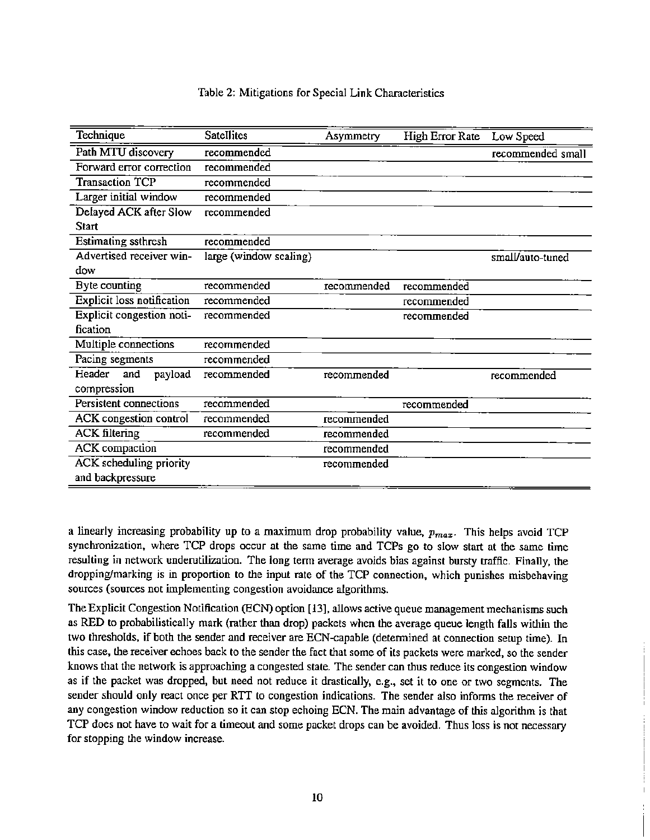#### Table 2: Mitigations for Special Link Characteristics

| Technique                         | <b>Satellites</b>      | Asymmetry   | High Error Rate | Low Speed         |
|-----------------------------------|------------------------|-------------|-----------------|-------------------|
| Path MTU discovery                | recommended            |             |                 | recommended small |
| Forward error correction          | recommended            |             |                 |                   |
| Transaction TCP                   | recommended            |             |                 |                   |
| Larger initial window             | recommended            |             |                 |                   |
| Delayed ACK after Slow            | recommended            |             |                 |                   |
| <b>Start</b>                      |                        |             |                 |                   |
| Estimating ssthresh               | recommended            |             |                 |                   |
| Advertised receiver win-          | large (window scaling) |             |                 | small/auto-tuned  |
| dow                               |                        |             |                 |                   |
| Byte counting                     | recommended            | recommended | recommended     |                   |
| <b>Explicit loss notification</b> | recommended            |             | recommended     |                   |
| Explicit congestion noti-         | recommended            |             | recommended     |                   |
| fication                          |                        |             |                 |                   |
| Multiple connections              | recommended            |             |                 |                   |
| Pacing segments                   | recommended            |             |                 |                   |
| Header<br>payload<br>and          | recommended            | recommended |                 | recommended       |
| compression                       |                        |             |                 |                   |
| Persistent connections            | recommended            |             | recommended     |                   |
| <b>ACK</b> congestion control     | recommended            | recommended |                 |                   |
| <b>ACK</b> filtering              | recommended            | recommended |                 |                   |
| ACK compaction                    |                        | recommended |                 |                   |
| <b>ACK</b> scheduling priority    |                        | recommended |                 |                   |
| and backpressure                  |                        |             |                 |                   |

a linearly increasing probability up to a maximum drop probability value, *Pmax.* This helps avoid TCP synchronization, where TCP drops occur at the same time and TCPs go to slow start at the same time resulting in network underutilization. The long term average avoids bias against bursty traffic. Finally, the dropping/marking is in proportion to the input rate of the TCP connection, which punishes misbehaving sources (sources not implementing congestion avoidance algorithms.

The Explicit Congestion Notification (BCN) option [13], allows active queue management mechanisms such as RED to probabilistically mark (rather than drop) packets when the average queue length falls within the two thresholds, if both the sender and receiver are ECN-capable (detennined at connection setup time). In this case, lhe receiver echoes back to the sender the fact that some of its packets were marked, so the sender knows that the network is approaching a congested state. The sender can thus reduce its congestion window as if the packet was dropped, but need not reduce it drastically, e.g., set it to one or two segments. The sender should only react once per RTT to congestion indications. The sender also infonns the receiver of any congestion window reduction so it can stop echoing ECN. The main advantage of this algorithm is that TCP does not have to wait for a timeout and some packet drops can be avoided. Thus loss is not necessary for stopping the window increase.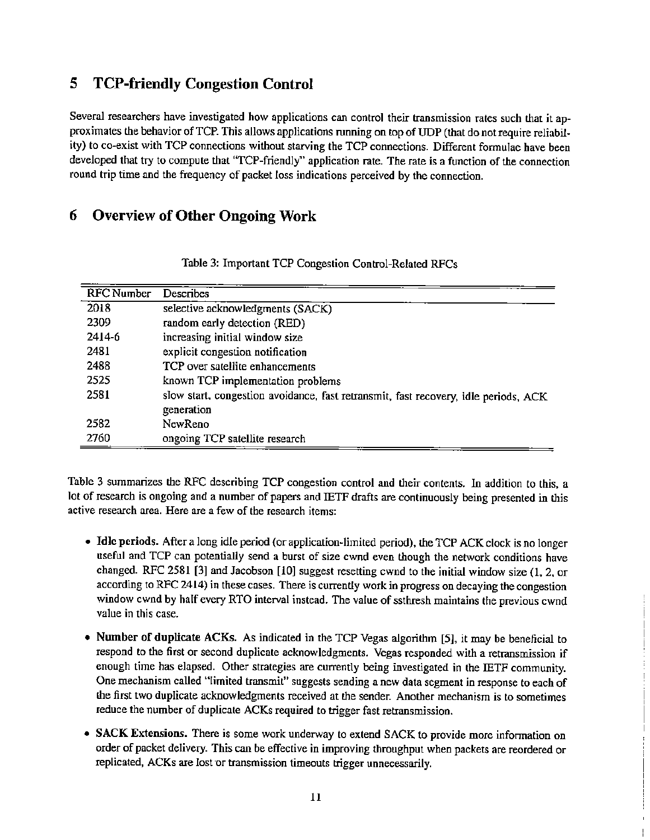# 5 TCP-friendly Congestion Control

Several researchers have investigated how applications can control their transmission rates such that it approximates the behavior of TCP. This allows applications running on top of UDP (that do not require reliability) to co-exist with TCP connections without starving the TCP connections. Different formulae have been developed that try to compute that "TCP-friendly" application rate. The rate is a function of the connection round trip time and the frequency of packet loss indications perceived by the connection.

# 6 Overview of Other Ongoing Work

| <b>RFC</b> Number | Describes                                                                                         |
|-------------------|---------------------------------------------------------------------------------------------------|
| 2018              | selective acknowledgments (SACK)                                                                  |
| 2309              | random early detection (RED)                                                                      |
| 2414-6            | increasing initial window size                                                                    |
| 2481              | explicit congestion notification                                                                  |
| 2488              | TCP over satellite enhancements                                                                   |
| 2525              | known TCP implementation problems                                                                 |
| 2581              | slow start, congestion avoidance, fast retransmit, fast recovery, idle periods, ACK<br>generation |
| 2582              | NewReno                                                                                           |
| 2760              | ongoing TCP satellite research                                                                    |

|  |  |  |  | Table 3: Important TCP Congestion Control-Related RFCs |  |
|--|--|--|--|--------------------------------------------------------|--|
|--|--|--|--|--------------------------------------------------------|--|

Table 3 summarizes the RFC describing TCP congestion control and their contents. In addition to this, a lot of research is ongoing and a number of papers and IETF drafts are continuously being presented in this active research area. Here are a few of the research items:

- Idle periods. After a long idle period (or application-limited period), the TCP ACK clock is no longer useful and TCP can potentially send a burst of size cwnd even though the network conditions have changed. RFC 2581 [3] and Jacobson [10] suggest resetting cwnd to the initial window size (1, 2, or according to RFC 2414) in these cases. There is currently work in progress on decaying the congestion window cwnd by half every RTO interval instead. The value of ssthresh maintains the previous cwnd value in this case.
- Number of duplicate ACKs. As indicated in the TCP Vegas algorithm [5], it may be beneficial to respond to the first or second duplicate acknowledgments. Vegas responded with a retransmission if enough time has elapsed. Other strategies are currently being investigated in the IETF community. One mechanism called "limited transmit" suggests sending a new data segment in response to each of lhe first two duplicate acknowledgments received at the sender. Another mechanism is to sometimes reduce the number of duplicate ACKs required to trigger fast retransmission.
- SACK Extensions. There is some work underway to extend SACK to provide more information on order of packet delivery. This can be effective in improving throughput when packets are reordered or replicated, ACKs are lost or transmission timeouts trigger unnecessarily.